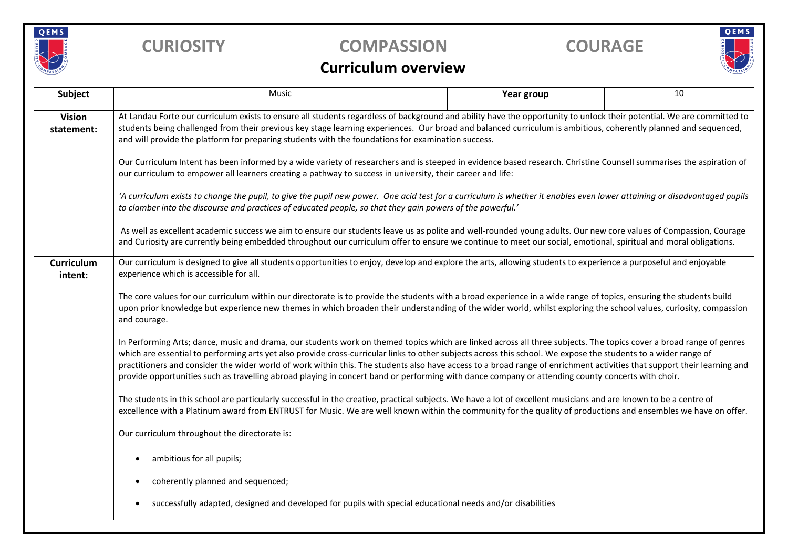

## **CURIOSITY COMPASSION COURAGE**

# QEMS

## **Curriculum overview**

| <b>Subject</b>               | Music                                                                                                                                                                                                                                                                                                                                                                                                                                                                                                                                                                                                                                                                  | Year group | 10 |  |  |  |  |  |
|------------------------------|------------------------------------------------------------------------------------------------------------------------------------------------------------------------------------------------------------------------------------------------------------------------------------------------------------------------------------------------------------------------------------------------------------------------------------------------------------------------------------------------------------------------------------------------------------------------------------------------------------------------------------------------------------------------|------------|----|--|--|--|--|--|
| <b>Vision</b><br>statement:  | At Landau Forte our curriculum exists to ensure all students regardless of background and ability have the opportunity to unlock their potential. We are committed to<br>students being challenged from their previous key stage learning experiences. Our broad and balanced curriculum is ambitious, coherently planned and sequenced,<br>and will provide the platform for preparing students with the foundations for examination success.                                                                                                                                                                                                                         |            |    |  |  |  |  |  |
|                              | Our Curriculum Intent has been informed by a wide variety of researchers and is steeped in evidence based research. Christine Counsell summarises the aspiration of<br>our curriculum to empower all learners creating a pathway to success in university, their career and life:                                                                                                                                                                                                                                                                                                                                                                                      |            |    |  |  |  |  |  |
|                              | 'A curriculum exists to change the pupil, to give the pupil new power. One acid test for a curriculum is whether it enables even lower attaining or disadvantaged pupils<br>to clamber into the discourse and practices of educated people, so that they gain powers of the powerful.'                                                                                                                                                                                                                                                                                                                                                                                 |            |    |  |  |  |  |  |
|                              | As well as excellent academic success we aim to ensure our students leave us as polite and well-rounded young adults. Our new core values of Compassion, Courage<br>and Curiosity are currently being embedded throughout our curriculum offer to ensure we continue to meet our social, emotional, spiritual and moral obligations.                                                                                                                                                                                                                                                                                                                                   |            |    |  |  |  |  |  |
| <b>Curriculum</b><br>intent: | Our curriculum is designed to give all students opportunities to enjoy, develop and explore the arts, allowing students to experience a purposeful and enjoyable<br>experience which is accessible for all.                                                                                                                                                                                                                                                                                                                                                                                                                                                            |            |    |  |  |  |  |  |
|                              | The core values for our curriculum within our directorate is to provide the students with a broad experience in a wide range of topics, ensuring the students build<br>upon prior knowledge but experience new themes in which broaden their understanding of the wider world, whilst exploring the school values, curiosity, compassion<br>and courage.                                                                                                                                                                                                                                                                                                               |            |    |  |  |  |  |  |
|                              | In Performing Arts; dance, music and drama, our students work on themed topics which are linked across all three subjects. The topics cover a broad range of genres<br>which are essential to performing arts yet also provide cross-curricular links to other subjects across this school. We expose the students to a wider range of<br>practitioners and consider the wider world of work within this. The students also have access to a broad range of enrichment activities that support their learning and<br>provide opportunities such as travelling abroad playing in concert band or performing with dance company or attending county concerts with choir. |            |    |  |  |  |  |  |
|                              | The students in this school are particularly successful in the creative, practical subjects. We have a lot of excellent musicians and are known to be a centre of<br>excellence with a Platinum award from ENTRUST for Music. We are well known within the community for the quality of productions and ensembles we have on offer.                                                                                                                                                                                                                                                                                                                                    |            |    |  |  |  |  |  |
|                              | Our curriculum throughout the directorate is:                                                                                                                                                                                                                                                                                                                                                                                                                                                                                                                                                                                                                          |            |    |  |  |  |  |  |
|                              | ambitious for all pupils;                                                                                                                                                                                                                                                                                                                                                                                                                                                                                                                                                                                                                                              |            |    |  |  |  |  |  |
|                              | coherently planned and sequenced;                                                                                                                                                                                                                                                                                                                                                                                                                                                                                                                                                                                                                                      |            |    |  |  |  |  |  |
|                              | successfully adapted, designed and developed for pupils with special educational needs and/or disabilities                                                                                                                                                                                                                                                                                                                                                                                                                                                                                                                                                             |            |    |  |  |  |  |  |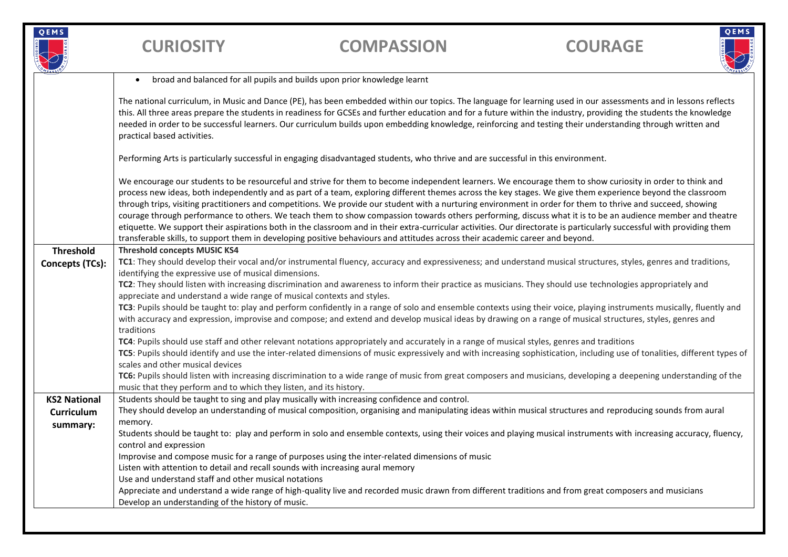

**CURIOSITY COMPASSION COURAGE**

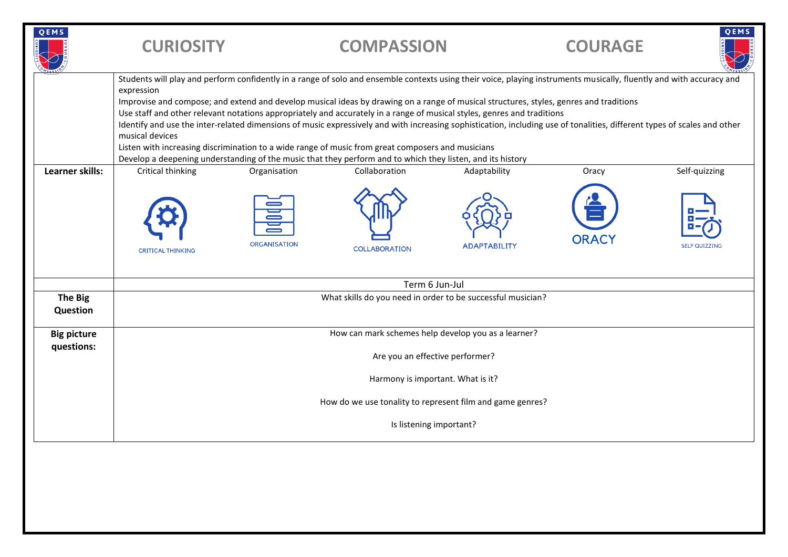| QEMS                   | <b>CURIOSITY</b>                                                                                                                                                                                                                                                                                                                                                                                                                                                                                                                                                                                                                                                                                                                                                                                                                                                          |                              | <b>COMPASSION</b>                     |                                     | <b>COURAGE</b>        | QEMS                                  |  |
|------------------------|---------------------------------------------------------------------------------------------------------------------------------------------------------------------------------------------------------------------------------------------------------------------------------------------------------------------------------------------------------------------------------------------------------------------------------------------------------------------------------------------------------------------------------------------------------------------------------------------------------------------------------------------------------------------------------------------------------------------------------------------------------------------------------------------------------------------------------------------------------------------------|------------------------------|---------------------------------------|-------------------------------------|-----------------------|---------------------------------------|--|
|                        | Students will play and perform confidently in a range of solo and ensemble contexts using their voice, playing instruments musically, fluently and with accuracy and<br>expression<br>Improvise and compose; and extend and develop musical ideas by drawing on a range of musical structures, styles, genres and traditions<br>Use staff and other relevant notations appropriately and accurately in a range of musical styles, genres and traditions<br>Identify and use the inter-related dimensions of music expressively and with increasing sophistication, including use of tonalities, different types of scales and other<br>musical devices<br>Listen with increasing discrimination to a wide range of music from great composers and musicians<br>Develop a deepening understanding of the music that they perform and to which they listen, and its history |                              |                                       |                                     |                       |                                       |  |
| <b>Learner skills:</b> | Critical thinking<br><b>CRITICAL THINKING</b>                                                                                                                                                                                                                                                                                                                                                                                                                                                                                                                                                                                                                                                                                                                                                                                                                             | Organisation<br>ORGANISATION | Collaboration<br><b>COLLABORATION</b> | Adaptability<br><b>ADAPTABILITY</b> | Oracy<br><b>ORAC\</b> | Self-quizzing<br><b>SELF QUIZZING</b> |  |
|                        | Term 6 Jun-Jul                                                                                                                                                                                                                                                                                                                                                                                                                                                                                                                                                                                                                                                                                                                                                                                                                                                            |                              |                                       |                                     |                       |                                       |  |
| The Big<br>Question    | What skills do you need in order to be successful musician?                                                                                                                                                                                                                                                                                                                                                                                                                                                                                                                                                                                                                                                                                                                                                                                                               |                              |                                       |                                     |                       |                                       |  |
| <b>Big picture</b>     | How can mark schemes help develop you as a learner?                                                                                                                                                                                                                                                                                                                                                                                                                                                                                                                                                                                                                                                                                                                                                                                                                       |                              |                                       |                                     |                       |                                       |  |
| questions:             | Are you an effective performer?                                                                                                                                                                                                                                                                                                                                                                                                                                                                                                                                                                                                                                                                                                                                                                                                                                           |                              |                                       |                                     |                       |                                       |  |
|                        | Harmony is important. What is it?                                                                                                                                                                                                                                                                                                                                                                                                                                                                                                                                                                                                                                                                                                                                                                                                                                         |                              |                                       |                                     |                       |                                       |  |
|                        | How do we use tonality to represent film and game genres?                                                                                                                                                                                                                                                                                                                                                                                                                                                                                                                                                                                                                                                                                                                                                                                                                 |                              |                                       |                                     |                       |                                       |  |
|                        | Is listening important?                                                                                                                                                                                                                                                                                                                                                                                                                                                                                                                                                                                                                                                                                                                                                                                                                                                   |                              |                                       |                                     |                       |                                       |  |